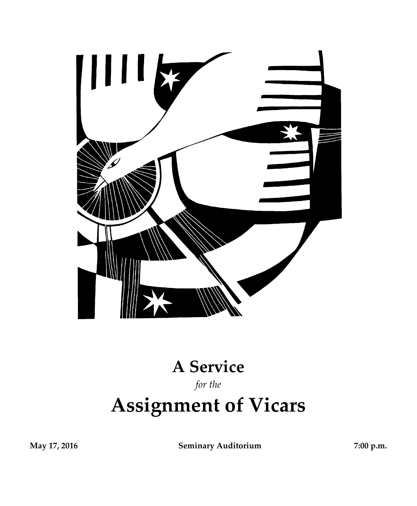

# **A Service**

## *for the*

# **Assignment of Vicars**

**May 17, 2016 Seminary Auditorium 7:00 p.m.**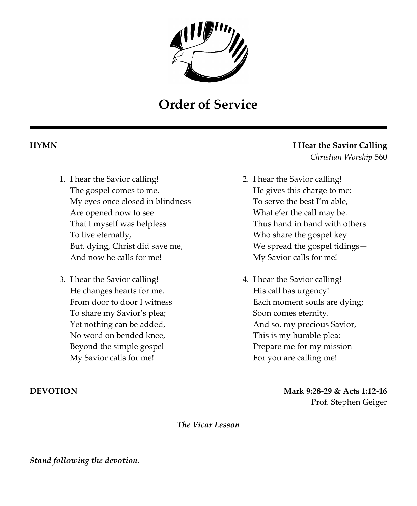

# **Order of Service**

- 1. I hear the Savior calling! The gospel comes to me. My eyes once closed in blindness Are opened now to see That I myself was helpless To live eternally, But, dying, Christ did save me, And now he calls for me!
- 3. I hear the Savior calling! He changes hearts for me. From door to door I witness To share my Savior's plea; Yet nothing can be added, No word on bended knee, Beyond the simple gospel— My Savior calls for me!

### **HYMN I Hear the Savior Calling** *Christian Worship* 560

- 2. I hear the Savior calling! He gives this charge to me: To serve the best I'm able, What e'er the call may be. Thus hand in hand with others Who share the gospel key We spread the gospel tidings— My Savior calls for me!
- 4. I hear the Savior calling! His call has urgency! Each moment souls are dying; Soon comes eternity. And so, my precious Savior, This is my humble plea: Prepare me for my mission For you are calling me!

**DEVOTION Mark 9:28-29 & Acts 1:12-16** Prof. Stephen Geiger

*The Vicar Lesson*

*Stand following the devotion.*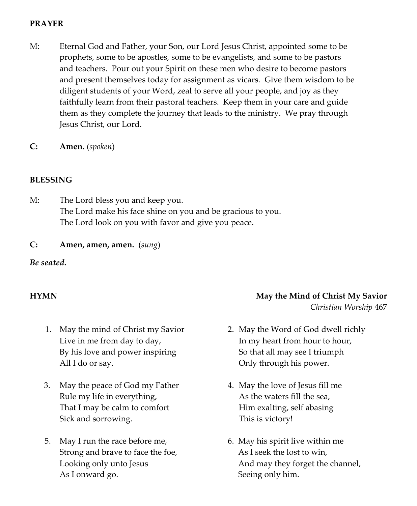#### **PRAYER**

- M: Eternal God and Father, your Son, our Lord Jesus Christ, appointed some to be prophets, some to be apostles, some to be evangelists, and some to be pastors and teachers. Pour out your Spirit on these men who desire to become pastors and present themselves today for assignment as vicars. Give them wisdom to be diligent students of your Word, zeal to serve all your people, and joy as they faithfully learn from their pastoral teachers. Keep them in your care and guide them as they complete the journey that leads to the ministry. We pray through Jesus Christ, our Lord.
- **C: Amen.** (*spoken*)

### **BLESSING**

M: The Lord bless you and keep you. The Lord make his face shine on you and be gracious to you. The Lord look on you with favor and give you peace.

**C: Amen, amen, amen.** (*sung*)

#### *Be seated.*

- 1. May the mind of Christ my Savior Live in me from day to day, By his love and power inspiring All I do or say.
- 3. May the peace of God my Father Rule my life in everything, That I may be calm to comfort Sick and sorrowing.
- 5. May I run the race before me, Strong and brave to face the foe, Looking only unto Jesus As I onward go.

### **HYMN May the Mind of Christ My Savior** *Christian Worship* 467

- 2. May the Word of God dwell richly In my heart from hour to hour, So that all may see I triumph Only through his power.
- 4. May the love of Jesus fill me As the waters fill the sea, Him exalting, self abasing This is victory!
- 6. May his spirit live within me As I seek the lost to win, And may they forget the channel, Seeing only him.